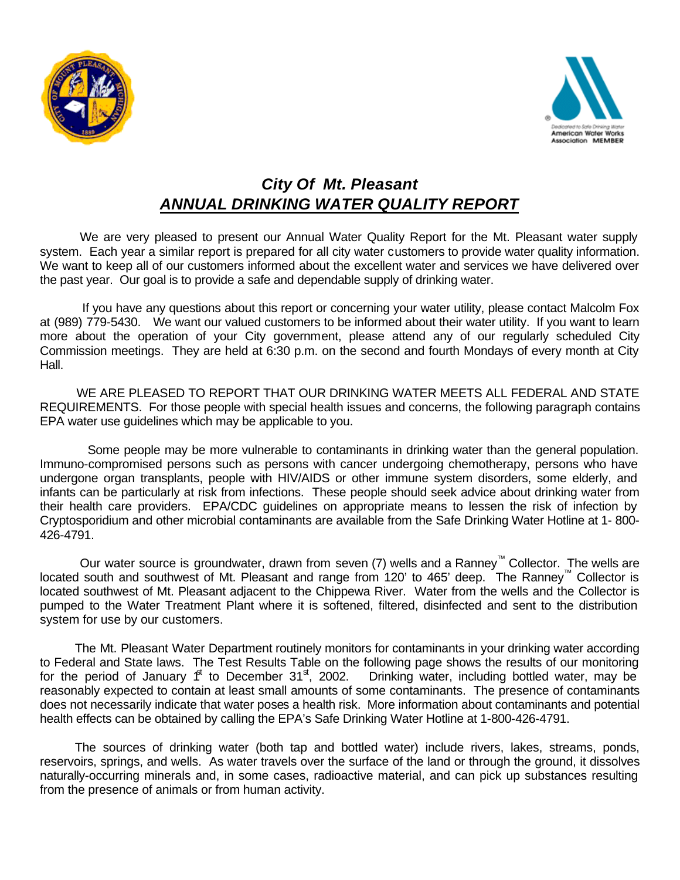



## *City Of Mt. Pleasant ANNUAL DRINKING WATER QUALITY REPORT*

We are very pleased to present our Annual Water Quality Report for the Mt. Pleasant water supply system. Each year a similar report is prepared for all city water customers to provide water quality information. We want to keep all of our customers informed about the excellent water and services we have delivered over the past year. Our goal is to provide a safe and dependable supply of drinking water.

 If you have any questions about this report or concerning your water utility, please contact Malcolm Fox at (989) 779-5430.We want our valued customers to be informed about their water utility. If you want to learn more about the operation of your City government, please attend any of our regularly scheduled City Commission meetings. They are held at 6:30 p.m. on the second and fourth Mondays of every month at City Hall.

WE ARE PLEASED TO REPORT THAT OUR DRINKING WATER MEETS ALL FEDERAL AND STATE REQUIREMENTS. For those people with special health issues and concerns, the following paragraph contains EPA water use guidelines which may be applicable to you.

 Some people may be more vulnerable to contaminants in drinking water than the general population. Immuno-compromised persons such as persons with cancer undergoing chemotherapy, persons who have undergone organ transplants, people with HIV/AIDS or other immune system disorders, some elderly, and infants can be particularly at risk from infections. These people should seek advice about drinking water from their health care providers. EPA/CDC guidelines on appropriate means to lessen the risk of infection by Cryptosporidium and other microbial contaminants are available from the Safe Drinking Water Hotline at 1- 800- 426-4791.

Our water source is groundwater, drawn from seven (7) wells and a Ranney™ Collector. The wells are located south and southwest of Mt. Pleasant and range from 120' to 465' deep. The Ranney™ Collector is located southwest of Mt. Pleasant adjacent to the Chippewa River. Water from the wells and the Collector is pumped to the Water Treatment Plant where it is softened, filtered, disinfected and sent to the distribution system for use by our customers.

The Mt. Pleasant Water Department routinely monitors for contaminants in your drinking water according to Federal and State laws. The Test Results Table on the following page shows the results of our monitoring for the period of January  $f^{\text{t}}$  to December 31st, 2002. Drinking water, including bottled water, may be reasonably expected to contain at least small amounts of some contaminants. The presence of contaminants does not necessarily indicate that water poses a health risk. More information about contaminants and potential health effects can be obtained by calling the EPA's Safe Drinking Water Hotline at 1-800-426-4791.

The sources of drinking water (both tap and bottled water) include rivers, lakes, streams, ponds, reservoirs, springs, and wells. As water travels over the surface of the land or through the ground, it dissolves naturally-occurring minerals and, in some cases, radioactive material, and can pick up substances resulting from the presence of animals or from human activity.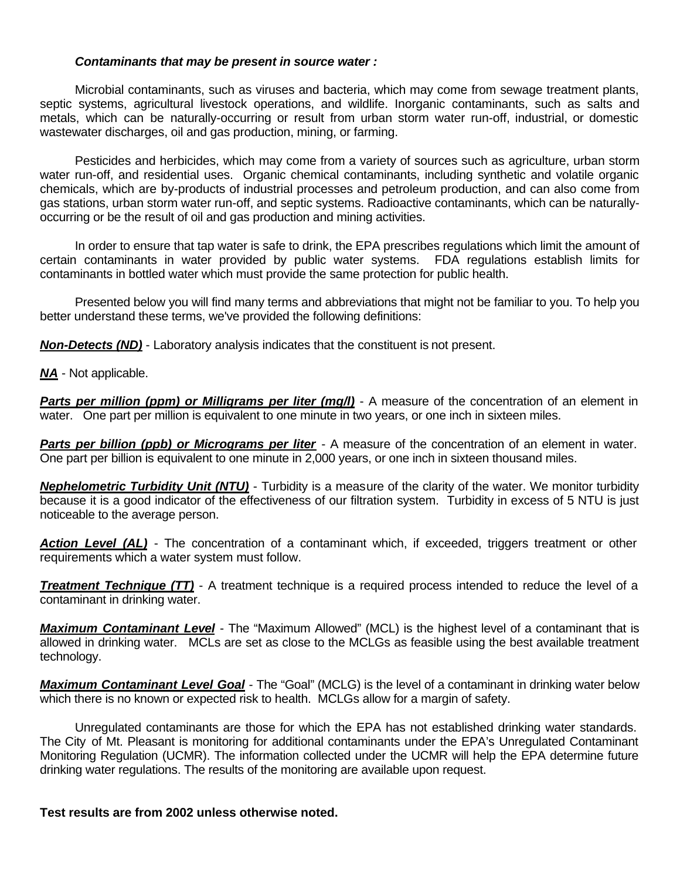## *Contaminants that may be present in source water :*

Microbial contaminants, such as viruses and bacteria, which may come from sewage treatment plants, septic systems, agricultural livestock operations, and wildlife. Inorganic contaminants, such as salts and metals, which can be naturally-occurring or result from urban storm water run-off, industrial, or domestic wastewater discharges, oil and gas production, mining, or farming.

Pesticides and herbicides, which may come from a variety of sources such as agriculture, urban storm water run-off, and residential uses. Organic chemical contaminants, including synthetic and volatile organic chemicals, which are by-products of industrial processes and petroleum production, and can also come from gas stations, urban storm water run-off, and septic systems. Radioactive contaminants, which can be naturallyoccurring or be the result of oil and gas production and mining activities.

In order to ensure that tap water is safe to drink, the EPA prescribes regulations which limit the amount of certain contaminants in water provided by public water systems. FDA regulations establish limits for contaminants in bottled water which must provide the same protection for public health.

Presented below you will find many terms and abbreviations that might not be familiar to you. To help you better understand these terms, we've provided the following definitions:

*Non-Detects (ND)* - Laboratory analysis indicates that the constituent is not present.

*NA* - Not applicable.

**Parts per million (ppm) or Milligrams per liter (mg/l)** - A measure of the concentration of an element in water. One part per million is equivalent to one minute in two years, or one inch in sixteen miles.

**Parts per billion (ppb) or Micrograms per liter** - A measure of the concentration of an element in water. One part per billion is equivalent to one minute in 2,000 years, or one inch in sixteen thousand miles.

*Nephelometric Turbidity Unit (NTU)* - Turbidity is a measure of the clarity of the water. We monitor turbidity because it is a good indicator of the effectiveness of our filtration system. Turbidity in excess of 5 NTU is just noticeable to the average person.

**Action Level (AL)** - The concentration of a contaminant which, if exceeded, triggers treatment or other requirements which a water system must follow.

**Treatment Technique (TT)** - A treatment technique is a required process intended to reduce the level of a contaminant in drinking water.

*Maximum Contaminant Level* - The "Maximum Allowed" (MCL) is the highest level of a contaminant that is allowed in drinking water. MCLs are set as close to the MCLGs as feasible using the best available treatment technology.

*Maximum Contaminant Level Goal* - The "Goal" (MCLG) is the level of a contaminant in drinking water below which there is no known or expected risk to health. MCLGs allow for a margin of safety.

Unregulated contaminants are those for which the EPA has not established drinking water standards. The City of Mt. Pleasant is monitoring for additional contaminants under the EPA's Unregulated Contaminant Monitoring Regulation (UCMR). The information collected under the UCMR will help the EPA determine future drinking water regulations. The results of the monitoring are available upon request.

**Test results are from 2002 unless otherwise noted.**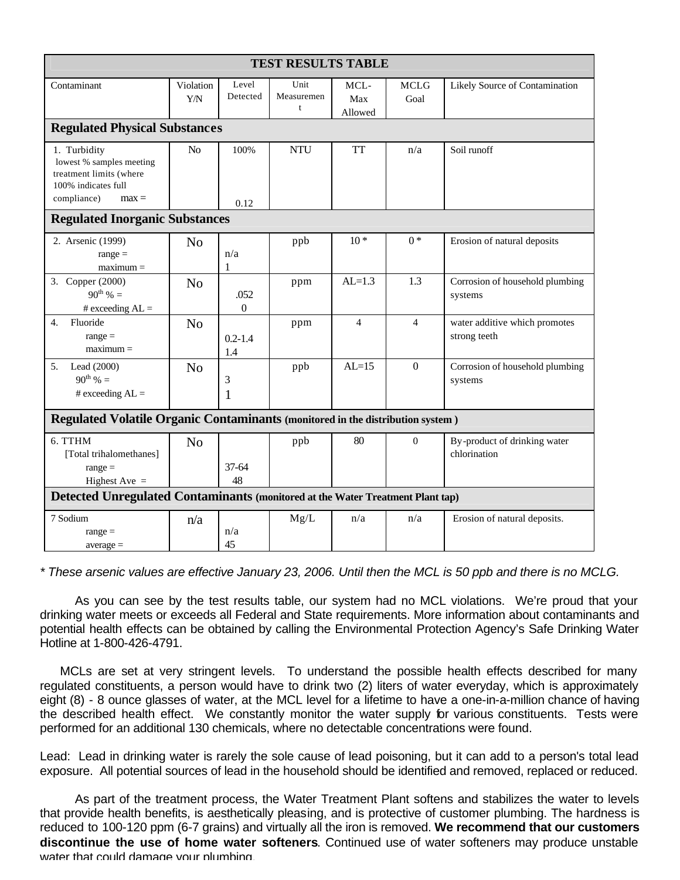| <b>TEST RESULTS TABLE</b>                                                                                            |                  |                        |                         |                        |                     |                                               |
|----------------------------------------------------------------------------------------------------------------------|------------------|------------------------|-------------------------|------------------------|---------------------|-----------------------------------------------|
| Contaminant                                                                                                          | Violation<br>Y/N | Level<br>Detected      | Unit<br>Measuremen<br>t | MCL-<br>Max<br>Allowed | <b>MCLG</b><br>Goal | Likely Source of Contamination                |
| <b>Regulated Physical Substances</b>                                                                                 |                  |                        |                         |                        |                     |                                               |
| 1. Turbidity<br>lowest % samples meeting<br>treatment limits (where<br>100% indicates full<br>compliance)<br>$max =$ | No               | 100%<br>0.12           | <b>NTU</b>              | <b>TT</b>              | n/a                 | Soil runoff                                   |
| <b>Regulated Inorganic Substances</b>                                                                                |                  |                        |                         |                        |                     |                                               |
| 2. Arsenic (1999)<br>$range =$<br>$maximum =$                                                                        | N <sub>o</sub>   | n/a<br>$\mathbf{1}$    | ppb                     | $10*$                  | $0*$                | Erosion of natural deposits                   |
| 3. Copper (2000)<br>$90^{th}$ % =<br># exceeding $AL =$                                                              | N <sub>o</sub>   | .052<br>$\overline{0}$ | ppm                     | $AL=1.3$               | 1.3                 | Corrosion of household plumbing<br>systems    |
| Fluoride<br>4.<br>$range =$<br>$maximum =$                                                                           | N <sub>o</sub>   | $0.2 - 1.4$<br>1.4     | ppm                     | $\overline{4}$         | $\overline{4}$      | water additive which promotes<br>strong teeth |
| 5 <sub>1</sub><br>Lead $(2000)$<br>$90^{th}$ % =<br># exceeding $AL =$                                               | N <sub>o</sub>   | 3<br>1                 | ppb                     | $AL=15$                | $\overline{0}$      | Corrosion of household plumbing<br>systems    |
| Regulated Volatile Organic Contaminants (monitored in the distribution system)                                       |                  |                        |                         |                        |                     |                                               |
| 6. TTHM<br>[Total trihalomethanes]<br>$range =$<br>Highest Ave $=$                                                   | N <sub>o</sub>   | $37 - 64$<br>48        | ppb                     | 80                     | $\Omega$            | By-product of drinking water<br>chlorination  |
| Detected Unregulated Contaminants (monitored at the Water Treatment Plant tap)                                       |                  |                        |                         |                        |                     |                                               |
| 7 Sodium<br>$range =$<br>$average =$                                                                                 | n/a              | n/a<br>45              | Mg/L                    | n/a                    | n/a                 | Erosion of natural deposits.                  |

*\* These arsenic values are effective January 23, 2006. Until then the MCL is 50 ppb and there is no MCLG.*

As you can see by the test results table, our system had no MCL violations. We're proud that your drinking water meets or exceeds all Federal and State requirements. More information about contaminants and potential health effects can be obtained by calling the Environmental Protection Agency's Safe Drinking Water Hotline at 1-800-426-4791.

MCLs are set at very stringent levels. To understand the possible health effects described for many regulated constituents, a person would have to drink two (2) liters of water everyday, which is approximately eight (8) - 8 ounce glasses of water, at the MCL level for a lifetime to have a one-in-a-million chance of having the described health effect. We constantly monitor the water supply for various constituents. Tests were performed for an additional 130 chemicals, where no detectable concentrations were found.

Lead: Lead in drinking water is rarely the sole cause of lead poisoning, but it can add to a person's total lead exposure. All potential sources of lead in the household should be identified and removed, replaced or reduced.

As part of the treatment process, the Water Treatment Plant softens and stabilizes the water to levels that provide health benefits, is aesthetically pleasing, and is protective of customer plumbing. The hardness is reduced to 100-120 ppm (6-7 grains) and virtually all the iron is removed. **We recommend that our customers discontinue the use of home water softeners**. Continued use of water softeners may produce unstable water that could damage your plumbing.